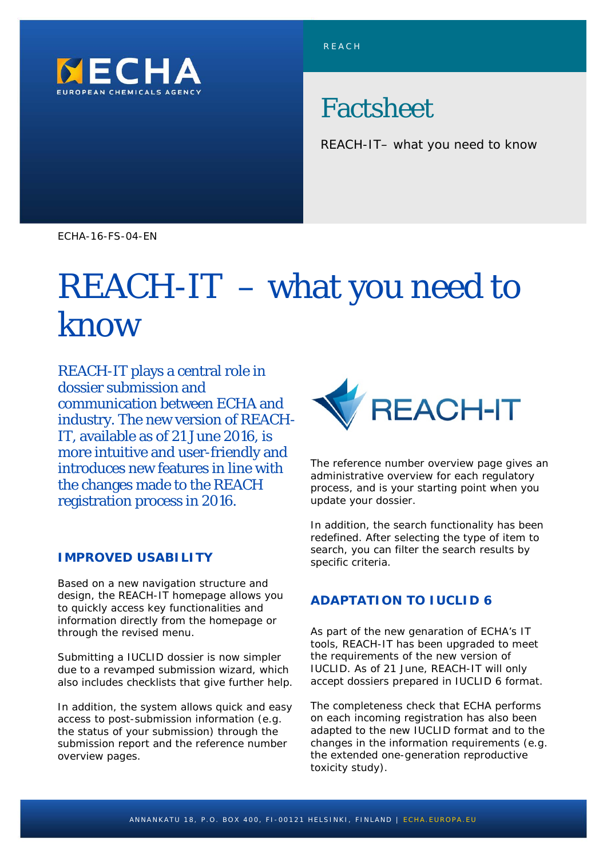

# Factsheet

REACH-IT– what you need to know

ECHA-16-FS-04-EN

# REACH-IT – what you need to know

REACH-IT plays a central role in dossier submission and communication between ECHA and industry. The new version of REACH-IT, available as of 21 June 2016, is more intuitive and user-friendly and introduces new features in line with the changes made to the REACH registration process in 2016.

## **IMPROVED USABILITY**

Based on a new navigation structure and design, the REACH-IT homepage allows you to quickly access key functionalities and information directly from the homepage or through the revised menu.

Submitting a IUCLID dossier is now simpler due to a revamped submission wizard, which also includes checklists that give further help.

In addition, the system allows quick and easy access to post-submission information (e.g. the status of your submission) through the submission report and the reference number overview pages.



The reference number overview page gives an administrative overview for each regulatory process, and is your starting point when you update your dossier.

In addition, the search functionality has been redefined. After selecting the type of item to search, you can filter the search results by specific criteria.

# **ADAPTATION TO IUCLID 6**

As part of the new genaration of ECHA's IT tools, REACH-IT has been upgraded to meet the requirements of the new version of IUCLID. As of 21 June, REACH-IT will only accept dossiers prepared in IUCLID 6 format.

The completeness check that ECHA performs on each incoming registration has also been adapted to the new IUCLID format and to the changes in the information requirements (e.g. the extended one-generation reproductive toxicity study).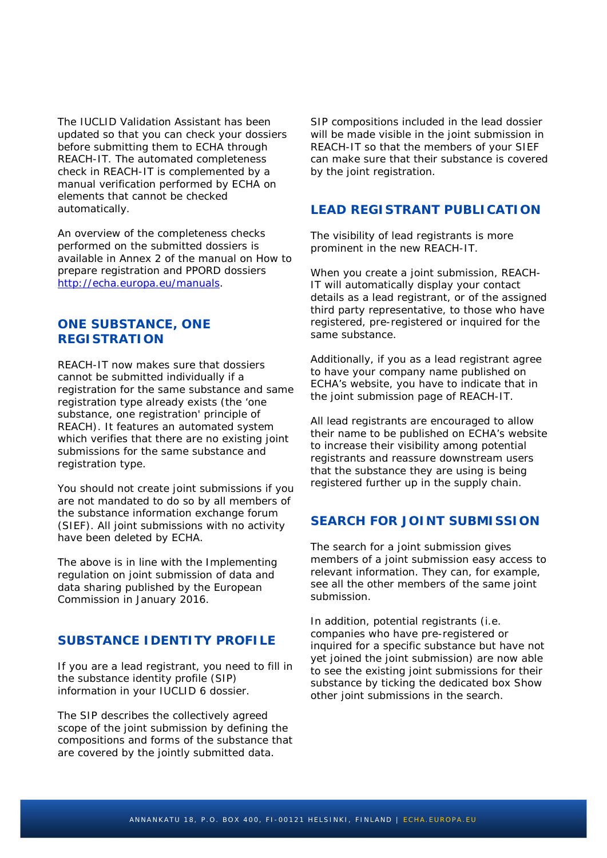The IUCLID Validation Assistant has been updated so that you can check your dossiers before submitting them to ECHA through REACH-IT. The automated completeness check in REACH-IT is complemented by a manual verification performed by ECHA on elements that cannot be checked automatically.

An overview of the completeness checks performed on the submitted dossiers is available in Annex 2 of the manual on *How to prepare registration and PPORD dossiers* [http://echa.europa.eu/manuals.](http://echa.europa.eu/manuals)

#### **ONE SUBSTANCE, ONE REGISTRATION**

REACH-IT now makes sure that dossiers cannot be submitted individually if a registration for the same substance and same registration type already exists (the 'one substance, one registration' principle of REACH). It features an automated system which verifies that there are no existing joint submissions for the same substance and registration type.

You should not create joint submissions if you are not mandated to do so by all members of the substance information exchange forum (SIEF). All joint submissions with no activity have been deleted by ECHA.

The above is in line with the *Implementing regulation on joint submission of data and data sharing* published by the European Commission in January 2016.

# **SUBSTANCE IDENTITY PROFILE**

If you are a lead registrant, you need to fill in the substance identity profile (SIP) information in your IUCLID 6 dossier.

The SIP describes the collectively agreed scope of the joint submission by defining the compositions and forms of the substance that are covered by the jointly submitted data.

SIP compositions included in the lead dossier will be made visible in the joint submission in REACH-IT so that the members of your SIEF can make sure that their substance is covered by the joint registration.

#### **LEAD REGISTRANT PUBLICATION**

The visibility of lead registrants is more prominent in the new REACH-IT.

When you create a joint submission, REACH-IT will automatically display your contact details as a lead registrant, or of the assigned third party representative, to those who have registered, pre-registered or inquired for the same substance.

Additionally, if you as a lead registrant agree to have your company name published on ECHA's website, you have to indicate that in the joint submission page of REACH-IT.

All lead registrants are encouraged to allow their name to be published on ECHA's website to increase their visibility among potential registrants and reassure downstream users that the substance they are using is being registered further up in the supply chain.

#### **SEARCH FOR JOINT SUBMISSION**

The search for a joint submission gives members of a joint submission easy access to relevant information. They can, for example, see all the other members of the same joint submission.

In addition, potential registrants (i.e. companies who have pre-registered or inquired for a specific substance but have not yet joined the joint submission) are now able to see the existing joint submissions for their substance by ticking the dedicated box *Show other joint submissions* in the search.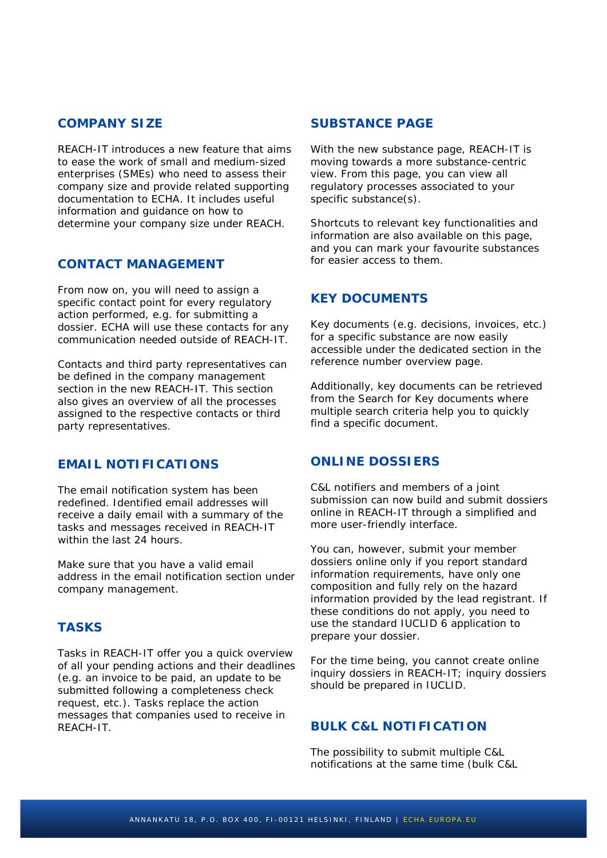#### **COMPANY SIZE**

REACH-IT introduces a new feature that aims to ease the work of small and medium-sized enterprises (SMEs) who need to assess their company size and provide related supporting documentation to ECHA. It includes useful information and guidance on how to determine your company size under REACH.

# **CONTACT MANAGEMENT**

From now on, you will need to assign a specific contact point for every regulatory action performed, e.g. for submitting a dossier. ECHA will use these contacts for any communication needed outside of REACH-IT.

Contacts and third party representatives can be defined in the company management section in the new REACH-IT. This section also gives an overview of all the processes assigned to the respective contacts or third party representatives.

# **EMAIL NOTIFICATIONS**

The email notification system has been redefined. Identified email addresses will receive a daily email with a summary of the tasks and messages received in REACH-IT within the last 24 hours.

Make sure that you have a valid email address in the email notification section under company management.

# **TASKS**

Tasks in REACH-IT offer you a quick overview of all your pending actions and their deadlines (e.g. an invoice to be paid, an update to be submitted following a completeness check request, etc.). Tasks replace the action messages that companies used to receive in REACH-IT.

#### **SUBSTANCE PAGE**

With the new substance page, REACH-IT is moving towards a more substance-centric view. From this page, you can view all regulatory processes associated to your specific substance(s).

Shortcuts to relevant key functionalities and information are also available on this page, and you can mark your favourite substances for easier access to them.

# **KEY DOCUMENTS**

Key documents (e.g. decisions, invoices, etc.) for a specific substance are now easily accessible under the dedicated section in the reference number overview page.

Additionally, key documents can be retrieved from the *Search for Key documents* where multiple search criteria help you to quickly find a specific document.

## **ONLINE DOSSIERS**

C&L notifiers and members of a joint submission can now build and submit dossiers online in REACH-IT through a simplified and more user-friendly interface.

You can, however, submit your member dossiers online only if you report standard information requirements, have only one composition and fully rely on the hazard information provided by the lead registrant. If these conditions do not apply, you need to use the standard IUCLID 6 application to prepare your dossier.

For the time being, you cannot create online inquiry dossiers in REACH-IT; inquiry dossiers should be prepared in IUCLID.

# **BULK C&L NOTIFICATION**

The possibility to submit multiple C&L notifications at the same time (bulk C&L